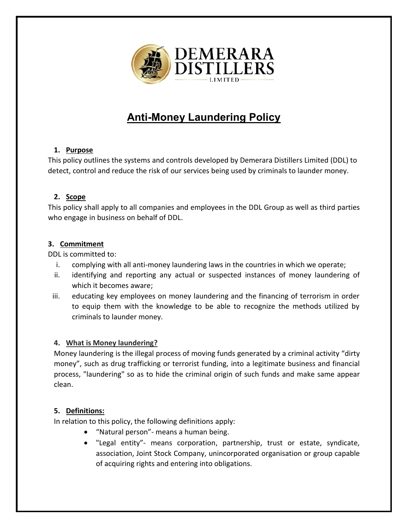

# **Anti-Money Laundering Policy**

# **1. Purpose**

This policy outlines the systems and controls developed by Demerara Distillers Limited (DDL) to detect, control and reduce the risk of our services being used by criminals to launder money.

# **2. Scope**

This policy shall apply to all companies and employees in the DDL Group as well as third parties who engage in business on behalf of DDL.

# **3. Commitment**

DDL is committed to:

- i. complying with all anti-money laundering laws in the countries in which we operate;
- ii. identifying and reporting any actual or suspected instances of money laundering of which it becomes aware;
- iii. educating key employees on money laundering and the financing of terrorism in order to equip them with the knowledge to be able to recognize the methods utilized by criminals to launder money.

### **4. What is Money laundering?**

Money laundering is the illegal process of moving funds generated by a criminal activity "dirty money", such as drug trafficking or terrorist funding, into a legitimate business and financial process, "laundering" so as to hide the criminal origin of such funds and make same appear clean.

# **5. Definitions:**

In relation to this policy, the following definitions apply:

- "Natural person"- means a human being.
- "Legal entity"- means corporation, partnership, trust or estate, syndicate, association, Joint Stock Company, unincorporated organisation or group capable of acquiring rights and entering into obligations.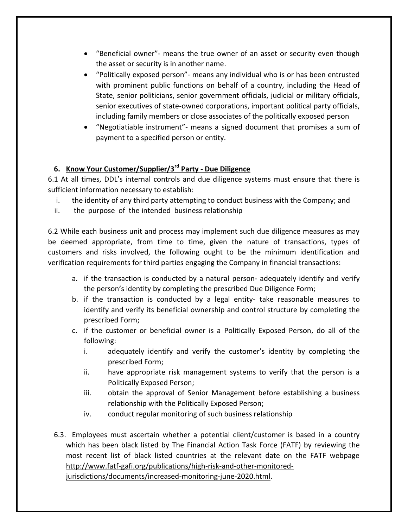- "Beneficial owner"- means the true owner of an asset or security even though the asset or security is in another name.
- "Politically exposed person"- means any individual who is or has been entrusted with prominent public functions on behalf of a country, including the Head of State, senior politicians, senior government officials, judicial or military officials, senior executives of state-owned corporations, important political party officials, including family members or close associates of the politically exposed person
- "Negotiatiable instrument"- means a signed document that promises a sum of payment to a specified person or entity.

# **6. Know Your Customer/Supplier/3rd Party - Due Diligence**

6.1 At all times, DDL's internal controls and due diligence systems must ensure that there is sufficient information necessary to establish:

- i. the identity of any third party attempting to conduct business with the Company; and
- ii. the purpose of the intended business relationship

6.2 While each business unit and process may implement such due diligence measures as may be deemed appropriate, from time to time, given the nature of transactions, types of customers and risks involved, the following ought to be the minimum identification and verification requirements for third parties engaging the Company in financial transactions:

- a. if the transaction is conducted by a natural person- adequately identify and verify the person's identity by completing the prescribed Due Diligence Form;
- b. if the transaction is conducted by a legal entity- take reasonable measures to identify and verify its beneficial ownership and control structure by completing the prescribed Form;
- c. if the customer or beneficial owner is a Politically Exposed Person, do all of the following:
	- i. adequately identify and verify the customer's identity by completing the prescribed Form;
	- ii. have appropriate risk management systems to verify that the person is a Politically Exposed Person;
	- iii. obtain the approval of Senior Management before establishing a business relationship with the Politically Exposed Person;
	- iv. conduct regular monitoring of such business relationship
- 6.3. Employees must ascertain whether a potential client/customer is based in a country which has been black listed by The Financial Action Task Force (FATF) by reviewing the most recent list of black listed countries at the relevant date on the FATF webpage [http://www.fatf-gafi.org/publications/high-risk-and-other-monitored](http://www.fatf-gafi.org/publications/high-risk-and-other-monitored-jurisdictions/documents/increased-monitoring-june-2020.html)[jurisdictions/documents/increased-monitoring-june-2020.html.](http://www.fatf-gafi.org/publications/high-risk-and-other-monitored-jurisdictions/documents/increased-monitoring-june-2020.html)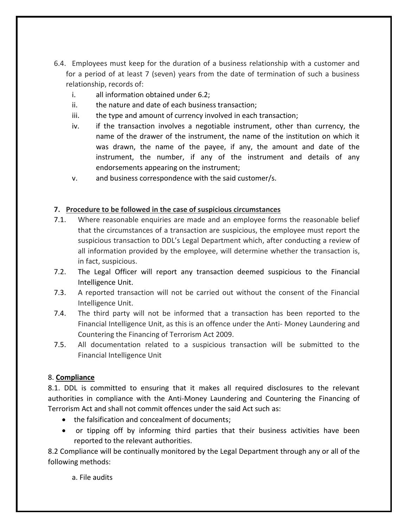- 6.4. Employees must keep for the duration of a business relationship with a customer and for a period of at least 7 (seven) years from the date of termination of such a business relationship, records of:
	- i. all information obtained under 6.2;
	- ii. the nature and date of each business transaction;
	- iii. the type and amount of currency involved in each transaction;
	- iv. if the transaction involves a negotiable instrument, other than currency, the name of the drawer of the instrument, the name of the institution on which it was drawn, the name of the payee, if any, the amount and date of the instrument, the number, if any of the instrument and details of any endorsements appearing on the instrument;
	- v. and business correspondence with the said customer/s.

#### **7. Procedure to be followed in the case of suspicious circumstances**

- 7.1. Where reasonable enquiries are made and an employee forms the reasonable belief that the circumstances of a transaction are suspicious, the employee must report the suspicious transaction to DDL's Legal Department which, after conducting a review of all information provided by the employee, will determine whether the transaction is, in fact, suspicious.
- 7.2. The Legal Officer will report any transaction deemed suspicious to the Financial Intelligence Unit.
- 7.3. A reported transaction will not be carried out without the consent of the Financial Intelligence Unit.
- 7.4. The third party will not be informed that a transaction has been reported to the Financial Intelligence Unit, as this is an offence under the Anti- Money Laundering and Countering the Financing of Terrorism Act 2009.
- 7.5. All documentation related to a suspicious transaction will be submitted to the Financial Intelligence Unit

### 8. **Compliance**

8.1. DDL is committed to ensuring that it makes all required disclosures to the relevant authorities in compliance with the Anti-Money Laundering and Countering the Financing of Terrorism Act and shall not commit offences under the said Act such as:

- the falsification and concealment of documents:
- or tipping off by informing third parties that their business activities have been reported to the relevant authorities.

8.2 Compliance will be continually monitored by the Legal Department through any or all of the following methods:

a. File audits